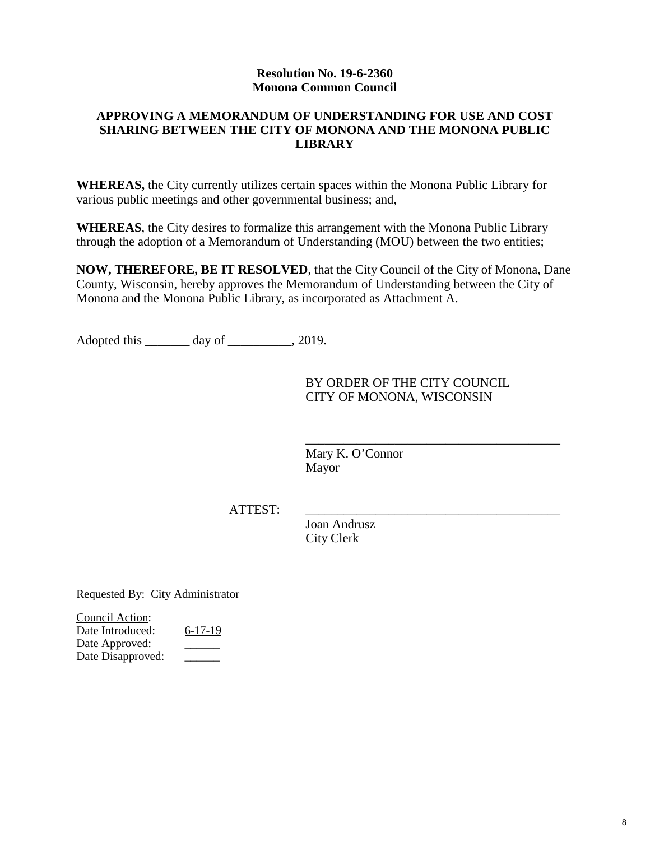### **Resolution No. 19-6-2360 Monona Common Council**

### **APPROVING A MEMORANDUM OF UNDERSTANDING FOR USE AND COST SHARING BETWEEN THE CITY OF MONONA AND THE MONONA PUBLIC LIBRARY**

**WHEREAS,** the City currently utilizes certain spaces within the Monona Public Library for various public meetings and other governmental business; and,

**WHEREAS**, the City desires to formalize this arrangement with the Monona Public Library through the adoption of a Memorandum of Understanding (MOU) between the two entities;

**NOW, THEREFORE, BE IT RESOLVED**, that the City Council of the City of Monona, Dane County, Wisconsin, hereby approves the Memorandum of Understanding between the City of Monona and the Monona Public Library, as incorporated as Attachment A.

Adopted this \_\_\_\_\_\_\_ day of \_\_\_\_\_\_\_\_\_\_, 2019.

BY ORDER OF THE CITY COUNCIL CITY OF MONONA, WISCONSIN

\_\_\_\_\_\_\_\_\_\_\_\_\_\_\_\_\_\_\_\_\_\_\_\_\_\_\_\_\_\_\_\_\_\_\_\_\_\_\_\_

Mary K. O'Connor Mayor

ATTEST:

Joan Andrusz City Clerk

Requested By: City Administrator

Council Action: Date Introduced: 6-17-19 Date Approved: Date Disapproved: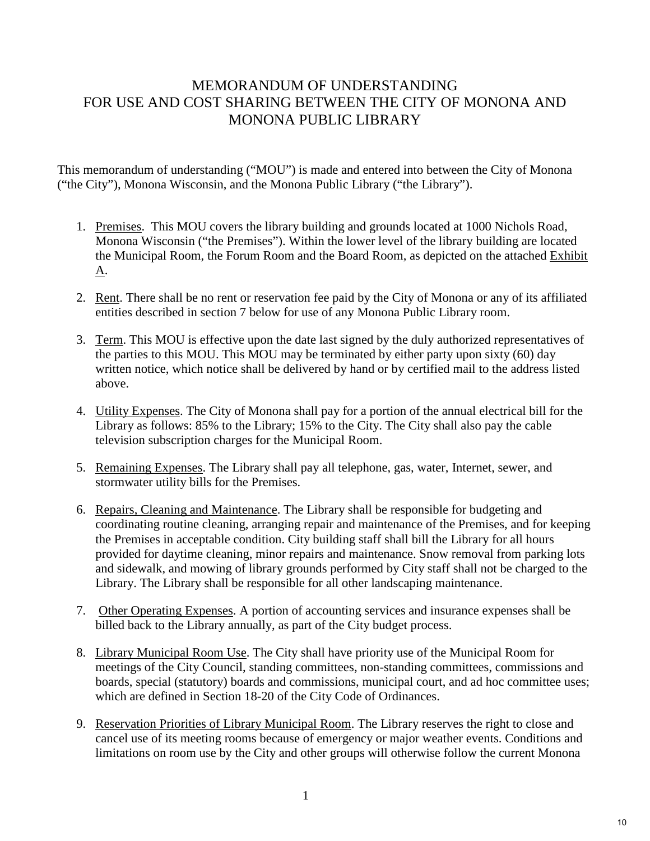# MEMORANDUM OF UNDERSTANDING FOR USE AND COST SHARING BETWEEN THE CITY OF MONONA AND MONONA PUBLIC LIBRARY

This memorandum of understanding ("MOU") is made and entered into between the City of Monona ("the City"), Monona Wisconsin, and the Monona Public Library ("the Library").

- 1. Premises. This MOU covers the library building and grounds located at 1000 Nichols Road, Monona Wisconsin ("the Premises"). Within the lower level of the library building are located the Municipal Room, the Forum Room and the Board Room, as depicted on the attached Exhibit A.
- 2. Rent. There shall be no rent or reservation fee paid by the City of Monona or any of its affiliated entities described in section 7 below for use of any Monona Public Library room.
- 3. Term. This MOU is effective upon the date last signed by the duly authorized representatives of the parties to this MOU. This MOU may be terminated by either party upon sixty (60) day written notice, which notice shall be delivered by hand or by certified mail to the address listed above.
- 4. Utility Expenses. The City of Monona shall pay for a portion of the annual electrical bill for the Library as follows: 85% to the Library; 15% to the City. The City shall also pay the cable television subscription charges for the Municipal Room.
- 5. Remaining Expenses. The Library shall pay all telephone, gas, water, Internet, sewer, and stormwater utility bills for the Premises.
- 6. Repairs, Cleaning and Maintenance. The Library shall be responsible for budgeting and coordinating routine cleaning, arranging repair and maintenance of the Premises, and for keeping the Premises in acceptable condition. City building staff shall bill the Library for all hours provided for daytime cleaning, minor repairs and maintenance. Snow removal from parking lots and sidewalk, and mowing of library grounds performed by City staff shall not be charged to the Library. The Library shall be responsible for all other landscaping maintenance.
- 7. Other Operating Expenses. A portion of accounting services and insurance expenses shall be billed back to the Library annually, as part of the City budget process.
- 8. Library Municipal Room Use. The City shall have priority use of the Municipal Room for meetings of the City Council, standing committees, non-standing committees, commissions and boards, special (statutory) boards and commissions, municipal court, and ad hoc committee uses; which are defined in Section 18-20 of the City Code of Ordinances.
- 9. Reservation Priorities of Library Municipal Room. The Library reserves the right to close and cancel use of its meeting rooms because of emergency or major weather events. Conditions and limitations on room use by the City and other groups will otherwise follow the current Monona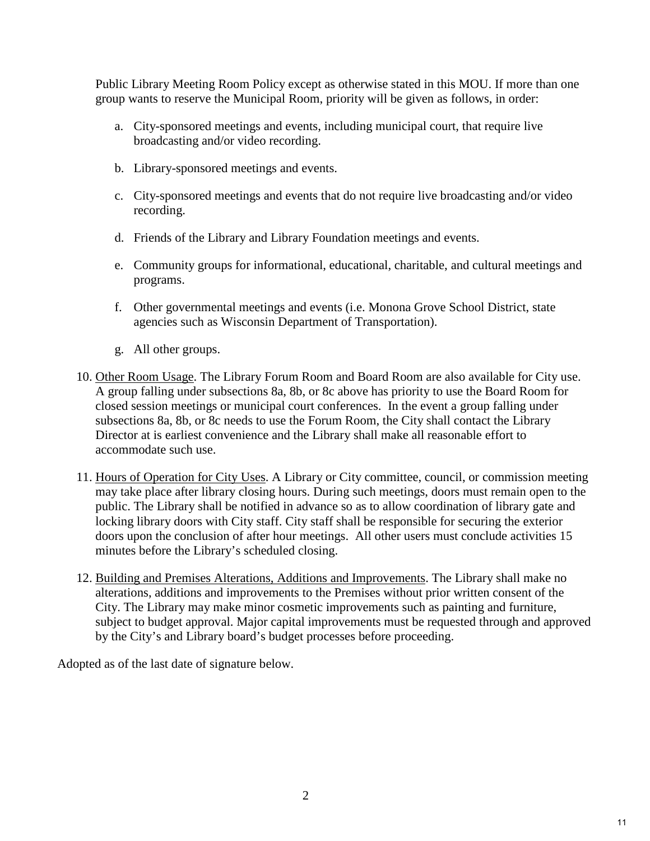Public Library Meeting Room Policy except as otherwise stated in this MOU. If more than one group wants to reserve the Municipal Room, priority will be given as follows, in order:

- a. City-sponsored meetings and events, including municipal court, that require live broadcasting and/or video recording.
- b. Library-sponsored meetings and events.
- c. City-sponsored meetings and events that do not require live broadcasting and/or video recording.
- d. Friends of the Library and Library Foundation meetings and events.
- e. Community groups for informational, educational, charitable, and cultural meetings and programs.
- f. Other governmental meetings and events (i.e. Monona Grove School District, state agencies such as Wisconsin Department of Transportation).
- g. All other groups.
- 10. Other Room Usage. The Library Forum Room and Board Room are also available for City use. A group falling under subsections 8a, 8b, or 8c above has priority to use the Board Room for closed session meetings or municipal court conferences. In the event a group falling under subsections 8a, 8b, or 8c needs to use the Forum Room, the City shall contact the Library Director at is earliest convenience and the Library shall make all reasonable effort to accommodate such use.
- 11. Hours of Operation for City Uses. A Library or City committee, council, or commission meeting may take place after library closing hours. During such meetings, doors must remain open to the public. The Library shall be notified in advance so as to allow coordination of library gate and locking library doors with City staff. City staff shall be responsible for securing the exterior doors upon the conclusion of after hour meetings. All other users must conclude activities 15 minutes before the Library's scheduled closing.
- 12. Building and Premises Alterations, Additions and Improvements. The Library shall make no alterations, additions and improvements to the Premises without prior written consent of the City. The Library may make minor cosmetic improvements such as painting and furniture, subject to budget approval. Major capital improvements must be requested through and approved by the City's and Library board's budget processes before proceeding.

Adopted as of the last date of signature below.